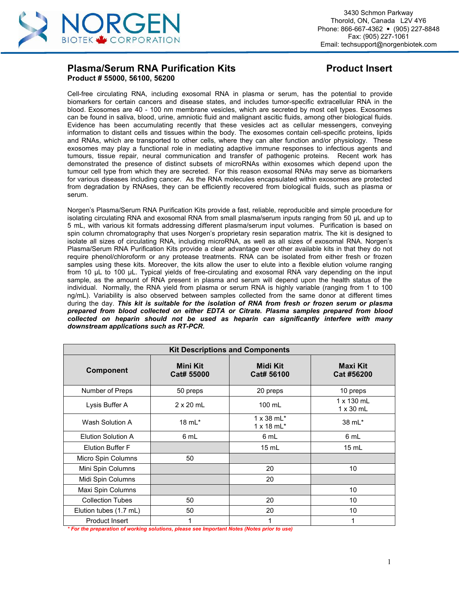

# **Plasma/Serum RNA Purification Kits Product Insert Product # 55000, 56100, 56200**

Cell-free circulating RNA, including exosomal RNA in plasma or serum, has the potential to provide biomarkers for certain cancers and disease states, and includes tumor-specific extracellular RNA in the blood. Exosomes are 40 - 100 nm membrane vesicles, which are secreted by most cell types. Exosomes can be found in saliva, blood, urine, amniotic fluid and malignant ascitic fluids, among other biological fluids. Evidence has been accumulating recently that these vesicles act as cellular messengers, conveying information to distant cells and tissues within the body. The exosomes contain cell-specific proteins, lipids and RNAs, which are transported to other cells, where they can alter function and/or physiology. These exosomes may play a functional role in mediating adaptive immune responses to infectious agents and tumours, tissue repair, neural communication and transfer of pathogenic proteins. Recent work has demonstrated the presence of distinct subsets of microRNAs within exosomes which depend upon the tumour cell type from which they are secreted. For this reason exosomal RNAs may serve as biomarkers for various diseases including cancer. As the RNA molecules encapsulated within exosomes are protected from degradation by RNAses, they can be efficiently recovered from biological fluids, such as plasma or serum.

Norgen's Plasma/Serum RNA Purification Kits provide a fast, reliable, reproducible and simple procedure for isolating circulating RNA andexosomal RNA from small plasma/serum inputs ranging from 50 µL and up to 5 mL, with various kit formats addressing different plasma/serum input volumes. Purification is based on spin column chromatography that uses Norgen's proprietary resin separation matrix. The kit is designed to isolate all sizes of circulating RNA, including microRNA, as well as all sizes of exosomal RNA. Norgen's Plasma/Serum RNA Purification Kits provide a clear advantage over other available kits in that they do not require phenol/chloroform or any protease treatments. RNA can be isolated from either fresh or frozen samples using these kits. Moreover, the kits allow the user to elute into a flexible elution volume ranging from 10 µL to 100 µL. Typical yields of free-circulating and exosomal RNA vary depending on the input sample, as the amount of RNA present in plasma and serum will depend upon the health status of the individual. Normally, the RNA yield from plasma or serum RNA is highly variable (ranging from 1 to 100 ng/mL). Variability is also observed between samples collected from the same donor at different times during the day. *This kit is suitable for the isolation of RNA from fresh or frozen serum or plasma prepared from blood collected on either EDTA or Citrate. Plasma samples prepared from blood collected on heparin should not be used as heparin can significantly interfere with many downstream applications such as RT-PCR.*

|                           |                               | <b>Kit Descriptions and Components</b> |                                |
|---------------------------|-------------------------------|----------------------------------------|--------------------------------|
| Component                 | <b>Mini Kit</b><br>Cat# 55000 | <b>Midi Kit</b><br>Cat# 56100          | <b>Maxi Kit</b><br>Cat #56200  |
| Number of Preps           | 50 preps                      | 20 preps                               | 10 preps                       |
| Lysis Buffer A            | $2 \times 20$ mL              | 100 mL                                 | 1 x 130 mL<br>$1 \times 30$ mL |
| Wash Solution A           | $18 \text{ mL}$ *             | $1 \times 38$ mL*<br>$1 \times 18$ mL* | 38 mL*                         |
| <b>Elution Solution A</b> | 6 mL                          | 6 mL                                   | 6 mL                           |
| <b>Elution Buffer F</b>   |                               | $15 \text{ mL}$                        | $15 \text{ mL}$                |
| Micro Spin Columns        | 50                            |                                        |                                |
| Mini Spin Columns         |                               | 20                                     | 10                             |
| Midi Spin Columns         |                               | 20                                     |                                |
| Maxi Spin Columns         |                               |                                        | 10                             |
| <b>Collection Tubes</b>   | 50                            | 20                                     | 10                             |
| Elution tubes (1.7 mL)    | 50                            | 20                                     | 10                             |
| Product Insert            |                               |                                        |                                |

*\* For the preparation of working solutions, please see Important Notes (Notes prior to use)*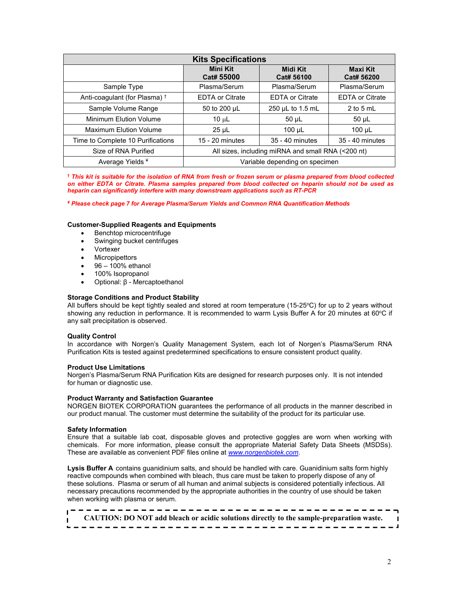| <b>Kits Specifications</b>               |                                                    |                        |                               |  |  |  |  |  |
|------------------------------------------|----------------------------------------------------|------------------------|-------------------------------|--|--|--|--|--|
|                                          | <b>Mini Kit</b><br>Cat# 55000                      | Midi Kit<br>Cat# 56100 | <b>Maxi Kit</b><br>Cat# 56200 |  |  |  |  |  |
| Sample Type                              | Plasma/Serum                                       | Plasma/Serum           | Plasma/Serum                  |  |  |  |  |  |
| Anti-coagulant (for Plasma) <sup>†</sup> | <b>EDTA or Citrate</b>                             | <b>EDTA or Citrate</b> | <b>EDTA or Citrate</b>        |  |  |  |  |  |
| Sample Volume Range                      | 50 to 200 µL                                       | 250 µL to 1.5 mL       | $2$ to 5 mL                   |  |  |  |  |  |
| Minimum Elution Volume                   | 10 $\mu$ L                                         | $50 \mu L$             | $50 \mu L$                    |  |  |  |  |  |
| <b>Maximum Elution Volume</b>            | $25 \mu L$                                         | $100 \mu L$            | $100 \mu L$                   |  |  |  |  |  |
| Time to Complete 10 Purifications        | $15 - 20$ minutes                                  | 35 - 40 minutes        | 35 - 40 minutes               |  |  |  |  |  |
| Size of RNA Purified                     | All sizes, including miRNA and small RNA (<200 nt) |                        |                               |  |  |  |  |  |
| Average Yields <sup>¥</sup>              | Variable depending on specimen                     |                        |                               |  |  |  |  |  |

<sup>†</sup> This kit is suitable for the isolation of RNA from fresh or frozen serum or plasma prepared from blood collected on either EDTA or Citrate. Plasma samples prepared from blood collected on heparin should not be used as *heparin can significantly interfere with many downstream applications such as RT-PCR*

*¥ Please check page 7 for Average Plasma/Serum Yields and Common RNA Quantification Methods*

#### **Customer-Supplied Reagents and Equipments**

- Benchtop microcentrifuge
- Swinging bucket centrifuges
- Vortexer
- Micropipettors
- 96 100% ethanol
- 100% Isopropanol
- Optional: β Mercaptoethanol

#### **Storage Conditions and Product Stability**

All buffers should be kept tightly sealed and stored at room temperature (15-25ºC) for up to 2 years without showing any reduction in performance. It is recommended to warm Lysis Buffer A for 20 minutes at 60°C if any salt precipitation is observed.

#### **Quality Control**

In accordance with Norgen's Quality Management System, each lot of Norgen's Plasma/Serum RNA Purification Kits is tested against predetermined specifications to ensure consistent product quality.

#### **Product Use Limitations**

Norgen's Plasma/Serum RNA Purification Kits are designed for research purposes only. It is not intended for human or diagnostic use.

#### **Product Warranty and Satisfaction Guarantee**

NORGEN BIOTEK CORPORATION guarantees the performance of all products in the manner described in our product manual. The customer must determine the suitability of the product for its particular use.

#### **Safety Information**

Ensure that a suitable lab coat, disposable gloves and protective goggles are worn when working with chemicals. For more information, please consult the appropriate Material Safety Data Sheets (MSDSs). These are available as convenient PDF files online at *[www.norgenbiotek.com](http://www.norgenbiotek.com)*.

Lysis Buffer A contains guanidinium salts, and should be handled with care. Guanidinium salts form highly reactive compounds when combined with bleach, thus care must be taken to properly dispose of any of these solutions. Plasma or serum of all human and animal subjects is considered potentially infectious. All necessary precautions recommended by the appropriate authorities in the country of use should be taken when working with plasma or serum.

| CAUTION: DO NOT add bleach or acidic solutions directly to the sample-preparation waste. |  |
|------------------------------------------------------------------------------------------|--|
|                                                                                          |  |
|                                                                                          |  |
|                                                                                          |  |
|                                                                                          |  |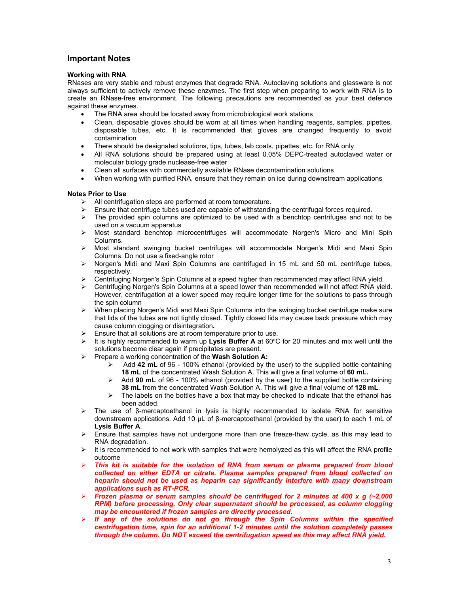## **Important Notes**

#### **Working with RNA**

RNases are very stable and robust enzymes that degrade RNA. Autoclaving solutions and glassware is not always sufficient to actively remove these enzymes. The first step when preparing to work with RNA is to create an RNase-free environment. The following precautions are recommended as your best defence against these enzymes.

- The RNA area should be located away from microbiological work stations
- Clean, disposable gloves should be worn at all times when handling reagents, samples, pipettes, disposable tubes, etc. It is recommended that gloves are changed frequently to avoid contamination
- There should be designated solutions, tips, tubes, lab coats, pipettes, etc. for RNA only
- All RNA solutions should be prepared using at least 0.05% DEPC-treated autoclaved water or molecular biology grade nuclease-free water
- Clean all surfaces with commercially available RNase decontamination solutions
- When working with purified RNA, ensure that they remain on ice during downstream applications

## **Notes Prior to Use**

- All centrifugation steps are performed at room temperature.
- Ensure that centrifuge tubes used are capable of withstanding the centrifugal forces required.<br>
The provided spin columns are optimized to be used with a benchtop centrifuges and not
- The provided spin columns are optimized to be used with a benchtop centrifuges and not to be used on a vacuum apparatus
- $\triangleright$  Most standard benchtop microcentrifuges will accommodate Norgen's Micro and Mini Spin Columns.
- Most standard swinging bucket centrifuges will accommodate Norgen's Midi and Maxi Spin Columns. Do not use a fixed-angle rotor
- $\triangleright$  Norgen's Midi and Maxi Spin Columns are centrifuged in 15 mL and 50 mL centrifuge tubes, respectively.
- Centrifuging Norgen's Spin Columns at a speed higher than recommended may affect RNA yield.
- Centrifuging Norgen's Spin Columns at a speed lower than recommended will not affect RNA yield. However, centrifugation at a lower speed may require longer time for the solutions to pass through the spin column
- $\triangleright$  When placing Norgen's Midi and Maxi Spin Columns into the swinging bucket centrifuge make sure that lids of the tubes are not tightly closed. Tightly closed lids may cause back pressure which may cause column clogging or disintegration**.**
- Ensure that all solutions are at room temperature prior to use.
- **➢ It is highly recommended to warm up Lysis Buffer A** at 60℃ for 20 minutes and mix well until the solutions become clear again if precipitates are present.
- Prepare a working concentration of the **Wash Solution A:**
	- Add **42 mL** of 96 100% ethanol (provided by the user) to the supplied bottle containing **18 mL** of the concentrated Wash Solution A. This will give a final volume of **60 mL.**
	- Add **90 mL** of 96 100% ethanol (provided by the user) to the supplied bottle containing **38 mL** from the concentrated Wash Solution A. This will give a final volume of **128 mL**.
	- $\triangleright$  The labels on the bottles have a box that may be checked to indicate that the ethanol has been added.
- $\triangleright$  The use of β-mercaptoethanol in lysis is highly recommended to isolate RNA for sensitive downstream applications. Add 10 µL of β-mercaptoethanol (provided by the user) to each 1 mL of **Lysis BufferA**.
- $\triangleright$  Ensure that samples have not undergone more than one freeze-thaw cycle, as this may lead to RNA degradation.
- $\triangleright$  It is recommended to not work with samples that were hemolyzed as this will affect the RNA profile outcome
- *This kit is suitable for the isolation of RNA from serum or plasma prepared from blood collected on either EDTA or citrate. Plasma samples prepared from blood collected on heparin should not be used as heparin can significantly interfere with many downstream applications such as RT-PCR.*
- *Frozen plasma or serum samples should be centrifuged for 2 minutes at 400 x g (~2,000 RPM) before processing. Only clear supernatant should be processed, as column clogging may be encountered if frozen samples are directly processed.*
- *If any of the solutions do not go through the Spin Columns within the specified centrifugation time, spin for an additional 1-2 minutes until the solution completely passes through the column. Do NOT exceed the centrifugation speed as this may affect RNA yield.*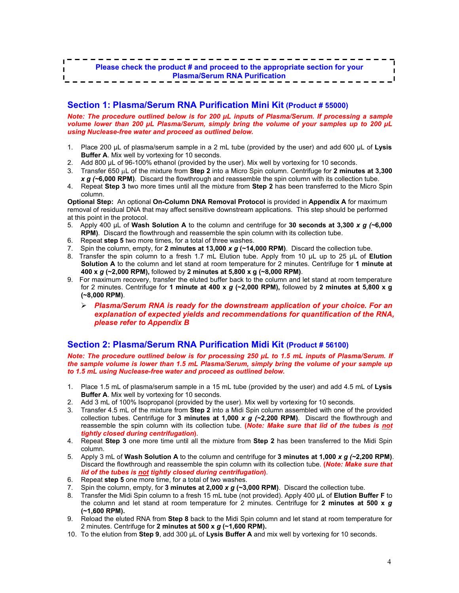# **Section 1: Plasma/Serum RNA Purification Mini Kit (Product # 55000)**

*Note: The procedure outlined below is for 200 µL inputs of Plasma/Serum. If processing a sample volume lower than 200 µL Plasma/Serum, simply bring the volume of your samples up to 200 µL using Nuclease-free water and proceed as outlined below.*

- 1. Place 200 µL of plasma/serum sample in a 2 mL tube (provided by the user) and add 600 µL of **Lysis Buffer A**. Mix well by vortexing for 10 seconds.
- 2. Add 800 µL of 96-100% ethanol (provided by the user). Mix well by vortexing for 10 seconds.
- 3. Transfer 650  $\mu$ L of the mixture from **Step 2** into a Micro Spin column. Centrifuge for 2 minutes at 3,300 *x g (~***6,000 RPM)**. Discard the flowthrough and reassemble the spin column with its collection tube.
- 4. Repeat **Step 3** two more times until all the mixture from **Step 2** has been transferred to the Micro Spin column.

**Optional Step:** An optional **On-Column DNA Removal Protocol** is provided in **Appendix A** for maximum removal of residual DNA that may affect sensitive downstream applications. This step should be performed at this point in the protocol.

- 5. Apply 400 µL of **Wash Solution A** to the column and centrifuge for **30 seconds at 3,300** *x g (~***6,000 RPM)**. Discard the flowthrough and reassemble the spin column with its collection tube.
- 6. Repeat **step 5** two more times, for a total of three washes.
- 7. Spin the column, empty, for **2 minutes at 13,000** *x g* **(~14,000 RPM)**. Discard the collection tube.
- 8. Transfer the spin column to a fresh 1.7 mL Elution tube. Apply from 10 µL up to 25 µL of**Elution Solution A** to the column and let stand at room temperature for 2 minutes. Centrifuge for **1 minute at 400 x** *g* **(~2,000 RPM),** followed by **2 minutes at 5,800 x g (~8,000 RPM)**.
- 9. For maximum recovery, transfer the eluted buffer back to the column and let stand atroom temperature for 2 minutes. Centrifuge for **1 minute at 400 x** *g* **(~2,000 RPM),** followed by **2 minutes at 5,800 x g (~8,000 RPM)**.
	- *Plasma/Serum RNA is ready for the downstream application of your choice. For an explanation of expected yields and recommendations for quantification of the RNA, please refer to Appendix B*

# **Section 2: Plasma/Serum RNA Purification Midi Kit (Product # 56100)**

*Note: The procedure outlined below is for processing 250 µL to 1.5 mL inputs of Plasma/Serum. If the sample volume is lower than 1.5 mL Plasma/Serum, simply bring the volume of your sample up to 1.5 mL using Nuclease-free water and proceed as outlined below.*

- 1. Place 1.5 mL of plasma/serum sample in a 15 mL tube (provided by the user) and add 4.5 mL of **Lysis Buffer A**. Mix well by vortexing for 10 seconds.
- 2. Add 3 mL of 100% Isopropanol (provided by the user). Mix well by vortexing for 10 seconds.
- 3. Transfer 4.5 mL of the mixture from **Step 2** intoa Midi Spin column assembled with one of the provided collection tubes. Centrifuge for **3 minutes at 1,000** *x g (~***2,200 RPM)**. Discard the flowthrough and reassemble the spin column with its collection tube. **(***Note: Make sure that lid of the tubes is not tightly closed during centrifugation***)**.
- 4. Repeat **Step 3**one more time until all the mixture from **Step 2** has been transferred to the Midi Spin column.
- 5. Apply 3 mL of **Wash Solution A** to the column and centrifuge for **3 minutes at 1,000** *x g (~***2,200 RPM)**. Discard the flowthrough and reassemble the spin column with its collection tube. **(***Note: Make sure that lid of the tubes is not tightly closed during centrifugation***)**.
- 6. Repeat **step 5** one more time, for a total of two washes.
- 7. Spin the column, empty, for **3 minutes at 2,000** *x g* **(~3,000 RPM)**. Discard the collection tube.
- 8. Transfer the Midi Spin column to a fresh 15 mL tube (not provided). Apply 400 µL of **Elution Buffer F** to the column and let stand at room temperature for 2 minutes. Centrifuge for **2 minutes at 500 x** *g* **(~1,600 RPM).**
- 9. Reload the eluted RNA from **Step 8** back to the Midi Spin column and let stand atroom temperature for 2 minutes. Centrifuge for **2 minutes at 500 x** *g* **(~1,600 RPM).**
- 10. To the elution from **Step 9**, add 300 µL of **Lysis Buffer A** and mix well by vortexing for 10 seconds.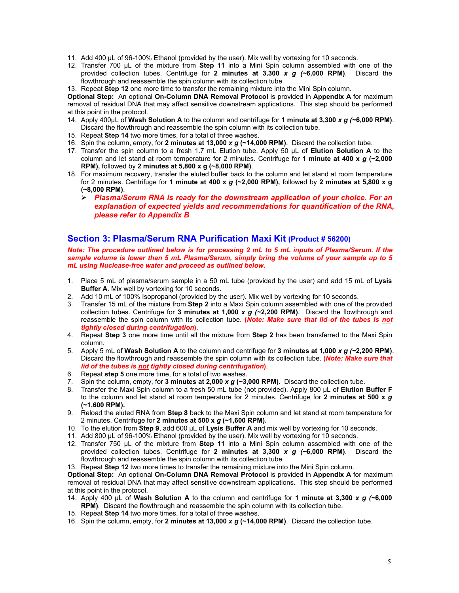- 11. Add 400 µL of 96-100% Ethanol (provided by the user). Mix well by vortexing for 10 seconds.
- 12. Transfer 700 µL of the mixture from **Step 11** into a Mini Spin column assembled with one of the provided collection tubes. Centrifuge for **2 minutes at 3,300** *x g (~***6,000 RPM)**. Discard the flowthrough and reassemble the spin column with its collection tube.
- 13. Repeat **Step 12** one more time to transfer the remaining mixture into the Mini Spin column.

**Optional Step:** An optional **On-Column DNA Removal Protocol** is provided in **Appendix A** for maximum removal of residual DNA that may affect sensitive downstream applications. This step should be performed at this point in the protocol.

- 14. Apply 400µL of**Wash Solution A** to the column and centrifuge for **1 minute at 3,300** *x g (~***6,000 RPM)**. Discard the flowthrough and reassemble the spin column with its collection tube.
- 15. Repeat **Step 14** two more times, for a total of three washes.
- 16. Spin the column, empty, for **2 minutes at 13,000** *x g* **(~14,000 RPM)**. Discard the collection tube.
- 17. Transfer the spin column to a fresh 1.7 mL Elution tube. Apply 50 µL of **Elution Solution A** to the column and let stand at room temperature for 2 minutes. Centrifuge for **1 minute at 400 x** *g* **(~2,000 RPM),** followed by **2 minutes at 5,800 x g (~8,000 RPM)**.
- 18. For maximum recovery, transfer the eluted buffer back to the column and let stand at room temperature for 2 minutes. Centrifuge for **1 minute at 400 x** *g* **(~2,000 RPM),** followed by **2 minutes at 5,800 x g (~8,000 RPM)**.
	- *Plasma/Serum RNA is ready for the downstream application of your choice. For an explanation of expected yields and recommendations for quantification of the RNA, please refer to Appendix B*

# **Section 3: Plasma/Serum RNA Purification Maxi Kit (Product # 56200)**

*Note: The procedure outlined below is for processing 2mL to 5 mL inputs of Plasma/Serum. If the sample volume is lower than 5 mL Plasma/Serum, simply bring the volume of your sample up to 5 mL using Nuclease-free water and proceed as outlined below.*

- 1. Place 5 mL of plasma/serum sample in a 50 mL tube (provided by the user) and add 15 mL of **Lysis Buffer A**. Mix well by vortexing for 10 seconds.
- 2. Add 10 mL of 100% Isopropanol (provided by the user). Mix well by vortexing for 10 seconds.
- 3. Transfer 15 mL of the mixture from **Step 2** intoa Maxi Spin column assembled with one of the provided collection tubes. Centrifuge for **3 minutes at 1,000** *x g (~***2,200 RPM)**. Discard the flowthrough and reassemble the spin column with its collection tube. **(***Note: Make sure that lid of the tubes is not tightly closed during centrifugation***)**.
- 4. Repeat **Step 3** one more time until all the mixture from **Step 2** has been transferred to the Maxi Spin column.
- 5. Apply 5 mL of **Wash Solution A** to the column and centrifuge for **3 minutes at 1,000** *x g (~***2,200 RPM)**. Discard the flowthrough and reassemble the spin column with its collection tube. **(***Note: Make sure that lid of the tubes is not tightly closed during centrifugation***)**.
- 6. Repeat **step 5** one more time, for a total of two washes.
- 7. Spin the column, empty, for **3 minutes at 2,000** *x g* **(~3,000 RPM)**. Discard the collection tube.
- 8. Transfer the Maxi Spin column to a fresh 50 mL tube (not provided). Apply 800 µL of **Elution Buffer F** to the column and let stand at room temperature for 2 minutes. Centrifuge for **2 minutes at 500 x** *g* **(~1,600 RPM).**
- 9. Reload the eluted RNA from **Step 8** back to the Maxi Spin column and let stand at room temperature for 2 minutes. Centrifuge for **2 minutes at 500 x** *g* **(~1,600 RPM).**
- 10. To the elution from **Step 9**, add 600 µL of **Lysis Buffer A** and mix well by vortexing for 10 seconds.
- 11. Add 800 µL of 96-100% Ethanol (provided by the user). Mix well by vortexing for 10 seconds.
- 12. Transfer 750 µL of the mixture from **Step 11** into a Mini Spin column assembled with one of the provided collection tubes. Centrifuge for **2 minutes at 3,300** *x g (~***6,000 RPM)**. Discard the flowthrough and reassemble the spin column with its collection tube.

13. Repeat **Step 12** two more times to transfer the remaining mixture into the Mini Spin column.

**Optional Step:** An optional **On-Column DNA Removal Protocol** is provided in **Appendix A** for maximum removal of residual DNA that may affect sensitive downstream applications. This step should be performed at this point in the protocol.

- 14. Apply 400 µL of **Wash Solution A** to thecolumn and centrifuge for **1 minute at 3,300** *x g (~***6,000 RPM)**. Discard the flowthrough and reassemble the spin column with its collection tube.
- 15. Repeat **Step 14** two more times, for a total of three washes.
- 16. Spin the column, empty, for **2 minutes at 13,000** *x g* **(~14,000 RPM)**. Discard the collection tube.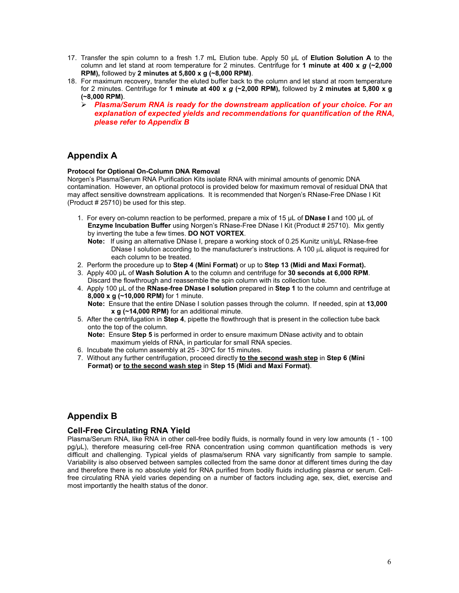- 17. Transfer the spin column to a fresh 1.7 mL Elution tube. Apply 50 µL of **Elution Solution A** to the column and let stand at room temperature for 2 minutes. Centrifuge for **1 minute at 400 x** *g* **(~2,000 RPM),** followed by **2 minutes at 5,800 x g (~8,000 RPM)**.
- 18. For maximum recovery, transfer the eluted buffer back to the column and let stand at room temperature for 2 minutes. Centrifuge for **1 minute at 400 x** *g* **(~2,000 RPM),** followed by **2 minutes at 5,800 x g (~8,000 RPM)**.
	- *Plasma/Serum RNA is ready for the downstream application of your choice. For an explanation of expected yields and recommendations for quantification of the RNA, please refer to Appendix B*

# **Appendix A**

## **Protocol for Optional On-Column DNA Removal**

Norgen's Plasma/Serum RNA Purification Kits isolate RNA with minimal amounts of genomic DNA contamination. However, an optional protocol is provided below for maximum removal of residual DNA that may affect sensitive downstream applications. It is recommended that Norgen's RNase-Free DNase I Kit (Product # 25710) be used for this step.

- 1. For every on-column reaction to be performed, prepare a mix of 15 µL of **DNase I** and 100 µL of **Enzyme Incubation Buffer** using Norgen's RNase-Free DNase I Kit(Product # 25710). Mix gently by inverting the tube a few times. **DO NOT VORTEX**.
	- **Note:** If using an alternative DNase I, prepare a working stock of 0.25 Kunitz unit/µL RNase-free DNase I solution according to the manufacturer's instructions. A 100  $\mu$ L aliquot is required for each column to be treated.
- 2. Perform the procedure up to **Step 4 (Mini Format)** or up to **Step 13 (Midi and Maxi Format).**
- 3. Apply 400 µL of **Wash Solution A** to the column and centrifuge for **30 seconds at 6,000 RPM**. Discard the flowthrough and reassemble the spin column with its collection tube.
- 4. Apply 100 µL of the **RNase-free DNase I solution** prepared in **Step 1** to the column and centrifuge at **8,000 x g (~10,000 RPM)** for 1 minute. **Note:** Ensure that the entire DNase I solution passes through the column. If needed, spin at **13,000 x g (~14,000 RPM)** foran additional minute.
- 5. After the centrifugation in **Step 4**, pipette the flowthrough that is present in the collection tube back onto the top of the column.

**Note:** Ensure **Step 5** is performed in order to ensure maximum DNase activity and to obtain maximum yields of RNA, in particular for small RNA species.

- 6. Incubate the column assembly at 25 30°C for 15 minutes.
- 7. Without any furthercentrifugation, proceed directly **to the second wash step** in **Step 6 (Mini Format) or to the second wash step** in **Step 15 (Midi and Maxi Format)**.

# **Appendix B**

# **Cell-Free Circulating RNA Yield**

Plasma/Serum RNA, like RNA in other cell-free bodily fluids, is normally found in very low amounts (1 - 100 pg/µL), therefore measuring cell-free RNA concentration using common quantification methods is very<br>difficult and challenging. Typical vields of plasma/serum RNA vary significantly from sample to sample. Variability is also observed between samples collected from the same donor at different times during the day and therefore there is no absolute yield for RNA purified from bodily fluids including plasma or serum. Cellfree circulating RNA yield varies depending on a number of factors including age, sex, diet, exercise and most importantly the health status of the donor.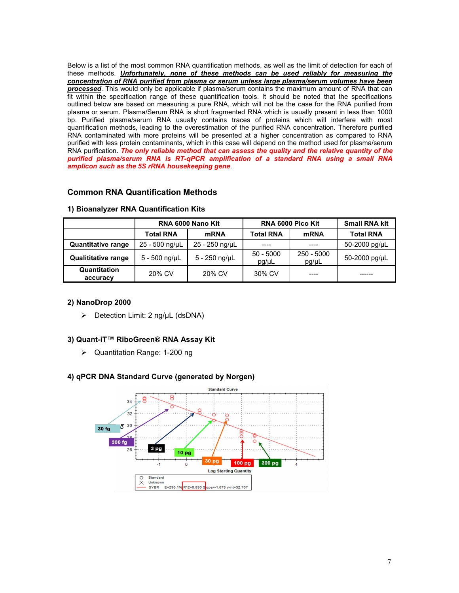Below is a list of the most common RNA quantification methods, as well as the limit of detection for each of these methods. *Unfortunately, none of these methods can be used reliably for measuring the concentration of RNA purified from plasma or serum unless large plasma/serum volumes have been processed*. This would only be applicable if plasma/serum contains the maximum amount of RNA that can fit within the specification range of these quantification tools. It should be noted that the specifications outlined below are based on measuring a pure RNA, which will not be the case for the RNA purified from plasma or serum. Plasma/Serum RNA is short fragmented RNA which is usually present in less than 1000 bp. Purified plasma/serum RNA usually contains traces of proteins which will interfere with most quantification methods, leading to the overestimation of the purified RNA concentration. Therefore purified RNA contaminated with more proteins will be presented at a higher concentration as compared to RNA purified with less protein contaminants, which in this case will depend on the method used for plasma/serum RNA purification. *The only reliable method that can assess the quality and the relative quantity of the purified plasma/serum RNA is RT-qPCR amplification of a standard RNA using a small RNA amplicon such as the 5S rRNA housekeeping gene*.

# **Common RNA Quantification Methods**

|                            | RNA 6000 Nano Kit |                       | <b>RNA 6000 Pico Kit</b> |                     | <b>Small RNA kit</b> |
|----------------------------|-------------------|-----------------------|--------------------------|---------------------|----------------------|
|                            | <b>Total RNA</b>  | <b>mRNA</b>           | <b>Total RNA</b>         | <b>mRNA</b>         | <b>Total RNA</b>     |
| <b>Quantitative range</b>  | 25 - 500 ng/µL    | 25 - 250 ng/µL        | $---$                    | ----                | 50-2000 pg/µL        |
| <b>Qualititative range</b> | 5 - 500 ng/µL     | $5 - 250$ ng/ $\mu$ L | $50 - 5000$<br>pg/µL     | 250 - 5000<br>pg/µL | 50-2000 pg/µL        |
| Quantitation<br>accuracy   | 20% CV            | 20% CV                | 30% CV                   | ----                | -------              |

## **1) Bioanalyzer RNA Quantification Kits**

## **2) NanoDrop 2000**

 $\triangleright$  Detection Limit: 2 ng/uL (dsDNA)

## **3) Quant-iT™ RiboGreen® RNA Assay Kit**

Quantitation Range: 1-200 ng

## **4) qPCR DNA Standard Curve (generated by Norgen)**